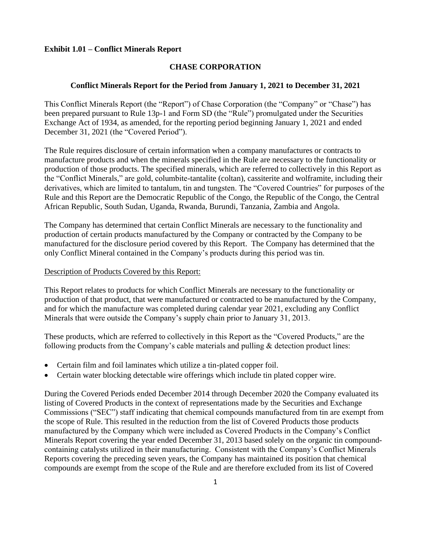# **Exhibit 1.01 – Conflict Minerals Report**

# **CHASE CORPORATION**

## **Conflict Minerals Report for the Period from January 1, 2021 to December 31, 2021**

This Conflict Minerals Report (the "Report") of Chase Corporation (the "Company" or "Chase") has been prepared pursuant to Rule 13p-1 and Form SD (the "Rule") promulgated under the Securities Exchange Act of 1934, as amended, for the reporting period beginning January 1, 2021 and ended December 31, 2021 (the "Covered Period").

The Rule requires disclosure of certain information when a company manufactures or contracts to manufacture products and when the minerals specified in the Rule are necessary to the functionality or production of those products. The specified minerals, which are referred to collectively in this Report as the "Conflict Minerals," are gold, columbite-tantalite (coltan), cassiterite and wolframite, including their derivatives, which are limited to tantalum, tin and tungsten. The "Covered Countries" for purposes of the Rule and this Report are the Democratic Republic of the Congo, the Republic of the Congo, the Central African Republic, South Sudan, Uganda, Rwanda, Burundi, Tanzania, Zambia and Angola.

The Company has determined that certain Conflict Minerals are necessary to the functionality and production of certain products manufactured by the Company or contracted by the Company to be manufactured for the disclosure period covered by this Report. The Company has determined that the only Conflict Mineral contained in the Company's products during this period was tin.

## Description of Products Covered by this Report:

This Report relates to products for which Conflict Minerals are necessary to the functionality or production of that product, that were manufactured or contracted to be manufactured by the Company, and for which the manufacture was completed during calendar year 2021, excluding any Conflict Minerals that were outside the Company's supply chain prior to January 31, 2013.

These products, which are referred to collectively in this Report as the "Covered Products," are the following products from the Company's cable materials and pulling  $\&$  detection product lines:

- Certain film and foil laminates which utilize a tin-plated copper foil.
- Certain water blocking detectable wire offerings which include tin plated copper wire.

During the Covered Periods ended December 2014 through December 2020 the Company evaluated its listing of Covered Products in the context of representations made by the Securities and Exchange Commissions ("SEC") staff indicating that chemical compounds manufactured from tin are exempt from the scope of Rule. This resulted in the reduction from the list of Covered Products those products manufactured by the Company which were included as Covered Products in the Company's Conflict Minerals Report covering the year ended December 31, 2013 based solely on the organic tin compoundcontaining catalysts utilized in their manufacturing. Consistent with the Company's Conflict Minerals Reports covering the preceding seven years, the Company has maintained its position that chemical compounds are exempt from the scope of the Rule and are therefore excluded from its list of Covered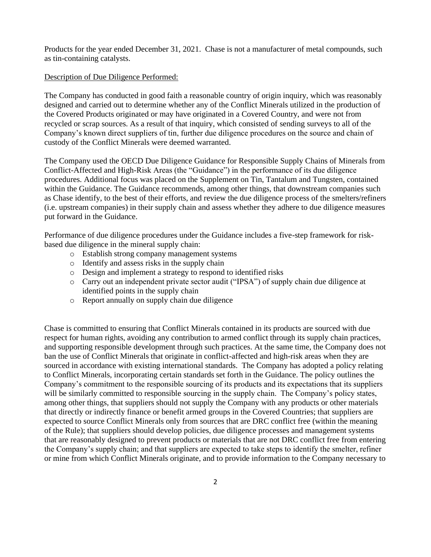Products for the year ended December 31, 2021. Chase is not a manufacturer of metal compounds, such as tin-containing catalysts.

# Description of Due Diligence Performed:

The Company has conducted in good faith a reasonable country of origin inquiry, which was reasonably designed and carried out to determine whether any of the Conflict Minerals utilized in the production of the Covered Products originated or may have originated in a Covered Country, and were not from recycled or scrap sources. As a result of that inquiry, which consisted of sending surveys to all of the Company's known direct suppliers of tin, further due diligence procedures on the source and chain of custody of the Conflict Minerals were deemed warranted.

The Company used the OECD Due Diligence Guidance for Responsible Supply Chains of Minerals from Conflict-Affected and High-Risk Areas (the "Guidance") in the performance of its due diligence procedures. Additional focus was placed on the Supplement on Tin, Tantalum and Tungsten, contained within the Guidance. The Guidance recommends, among other things, that downstream companies such as Chase identify, to the best of their efforts, and review the due diligence process of the smelters/refiners (i.e. upstream companies) in their supply chain and assess whether they adhere to due diligence measures put forward in the Guidance.

Performance of due diligence procedures under the Guidance includes a five-step framework for riskbased due diligence in the mineral supply chain:

- o Establish strong company management systems
- o Identify and assess risks in the supply chain
- o Design and implement a strategy to respond to identified risks
- o Carry out an independent private sector audit ("IPSA") of supply chain due diligence at identified points in the supply chain
- o Report annually on supply chain due diligence

Chase is committed to ensuring that Conflict Minerals contained in its products are sourced with due respect for human rights, avoiding any contribution to armed conflict through its supply chain practices, and supporting responsible development through such practices. At the same time, the Company does not ban the use of Conflict Minerals that originate in conflict-affected and high-risk areas when they are sourced in accordance with existing international standards. The Company has adopted a policy relating to Conflict Minerals, incorporating certain standards set forth in the Guidance. The policy outlines the Company's commitment to the responsible sourcing of its products and its expectations that its suppliers will be similarly committed to responsible sourcing in the supply chain. The Company's policy states, among other things, that suppliers should not supply the Company with any products or other materials that directly or indirectly finance or benefit armed groups in the Covered Countries; that suppliers are expected to source Conflict Minerals only from sources that are DRC conflict free (within the meaning of the Rule); that suppliers should develop policies, due diligence processes and management systems that are reasonably designed to prevent products or materials that are not DRC conflict free from entering the Company's supply chain; and that suppliers are expected to take steps to identify the smelter, refiner or mine from which Conflict Minerals originate, and to provide information to the Company necessary to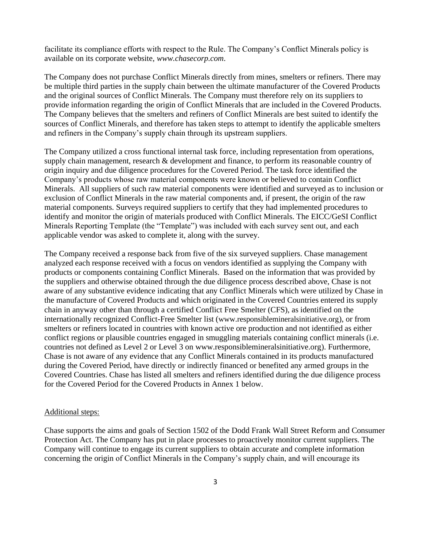facilitate its compliance efforts with respect to the Rule. The Company's Conflict Minerals policy is available on its corporate website, *[www.chasecorp.com](http://www.chasecorp.com/)*.

The Company does not purchase Conflict Minerals directly from mines, smelters or refiners. There may be multiple third parties in the supply chain between the ultimate manufacturer of the Covered Products and the original sources of Conflict Minerals. The Company must therefore rely on its suppliers to provide information regarding the origin of Conflict Minerals that are included in the Covered Products. The Company believes that the smelters and refiners of Conflict Minerals are best suited to identify the sources of Conflict Minerals, and therefore has taken steps to attempt to identify the applicable smelters and refiners in the Company's supply chain through its upstream suppliers.

The Company utilized a cross functional internal task force, including representation from operations, supply chain management, research & development and finance, to perform its reasonable country of origin inquiry and due diligence procedures for the Covered Period. The task force identified the Company's products whose raw material components were known or believed to contain Conflict Minerals. All suppliers of such raw material components were identified and surveyed as to inclusion or exclusion of Conflict Minerals in the raw material components and, if present, the origin of the raw material components. Surveys required suppliers to certify that they had implemented procedures to identify and monitor the origin of materials produced with Conflict Minerals. The EICC/GeSI Conflict Minerals Reporting Template (the "Template") was included with each survey sent out, and each applicable vendor was asked to complete it, along with the survey.

The Company received a response back from five of the six surveyed suppliers. Chase management analyzed each response received with a focus on vendors identified as supplying the Company with products or components containing Conflict Minerals. Based on the information that was provided by the suppliers and otherwise obtained through the due diligence process described above, Chase is not aware of any substantive evidence indicating that any Conflict Minerals which were utilized by Chase in the manufacture of Covered Products and which originated in the Covered Countries entered its supply chain in anyway other than through a certified Conflict Free Smelter (CFS), as identified on the internationally recognized Conflict-Free Smelter list ([www.responsiblemineralsinitiative.org](http://www.responsiblemineralsinitiative.org/)), or from smelters or refiners located in countries with known active ore production and not identified as either conflict regions or plausible countries engaged in smuggling materials containing conflict minerals (i.e. countries not defined as Level 2 or Level 3 on [www.responsiblemineralsinitiative.org\)](http://www.responsiblemineralsinitiative.org/). Furthermore, Chase is not aware of any evidence that any Conflict Minerals contained in its products manufactured during the Covered Period, have directly or indirectly financed or benefited any armed groups in the Covered Countries. Chase has listed all smelters and refiners identified during the due diligence process for the Covered Period for the Covered Products in Annex 1 below.

### Additional steps:

Chase supports the aims and goals of Section 1502 of the Dodd Frank Wall Street Reform and Consumer Protection Act. The Company has put in place processes to proactively monitor current suppliers. The Company will continue to engage its current suppliers to obtain accurate and complete information concerning the origin of Conflict Minerals in the Company's supply chain, and will encourage its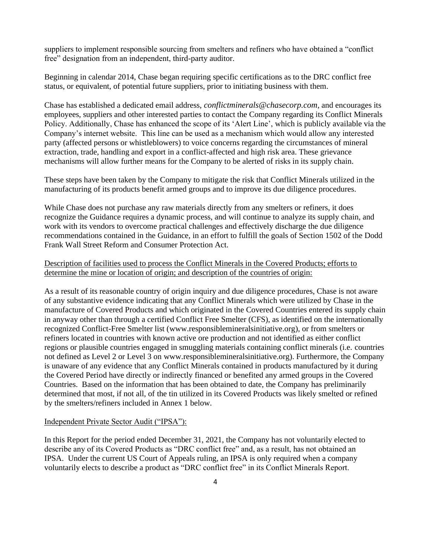suppliers to implement responsible sourcing from smelters and refiners who have obtained a "conflict free" designation from an independent, third-party auditor.

Beginning in calendar 2014, Chase began requiring specific certifications as to the DRC conflict free status, or equivalent, of potential future suppliers, prior to initiating business with them.

Chase has established a dedicated email address, *[conflictminerals@chasecorp.com](mailto:conflictminerals@chasecorp.com)*, and encourages its employees, suppliers and other interested parties to contact the Company regarding its Conflict Minerals Policy. Additionally, Chase has enhanced the scope of its 'Alert Line', which is publicly available via the Company's internet website. This line can be used as a mechanism which would allow any interested party (affected persons or whistleblowers) to voice concerns regarding the circumstances of mineral extraction, trade, handling and export in a conflict-affected and high risk area. These grievance mechanisms will allow further means for the Company to be alerted of risks in its supply chain.

These steps have been taken by the Company to mitigate the risk that Conflict Minerals utilized in the manufacturing of its products benefit armed groups and to improve its due diligence procedures.

While Chase does not purchase any raw materials directly from any smelters or refiners, it does recognize the Guidance requires a dynamic process, and will continue to analyze its supply chain, and work with its vendors to overcome practical challenges and effectively discharge the due diligence recommendations contained in the Guidance, in an effort to fulfill the goals of Section 1502 of the Dodd Frank Wall Street Reform and Consumer Protection Act.

# Description of facilities used to process the Conflict Minerals in the Covered Products; efforts to determine the mine or location of origin; and description of the countries of origin:

As a result of its reasonable country of origin inquiry and due diligence procedures, Chase is not aware of any substantive evidence indicating that any Conflict Minerals which were utilized by Chase in the manufacture of Covered Products and which originated in the Covered Countries entered its supply chain in anyway other than through a certified Conflict Free Smelter (CFS), as identified on the internationally recognized Conflict-Free Smelter list [\(www.responsiblemineralsinitiative.org\)](http://www.responsiblemineralsinitiative.org/), or from smelters or refiners located in countries with known active ore production and not identified as either conflict regions or plausible countries engaged in smuggling materials containing conflict minerals (i.e. countries not defined as Level 2 or Level 3 on [www.responsiblemineralsinitiative.org\)](http://www.responsiblemineralsinitiative.org/). Furthermore, the Company is unaware of any evidence that any Conflict Minerals contained in products manufactured by it during the Covered Period have directly or indirectly financed or benefited any armed groups in the Covered Countries. Based on the information that has been obtained to date, the Company has preliminarily determined that most, if not all, of the tin utilized in its Covered Products was likely smelted or refined by the smelters/refiners included in Annex 1 below.

### Independent Private Sector Audit ("IPSA"):

In this Report for the period ended December 31, 2021, the Company has not voluntarily elected to describe any of its Covered Products as "DRC conflict free" and, as a result, has not obtained an IPSA. Under the current US Court of Appeals ruling, an IPSA is only required when a company voluntarily elects to describe a product as "DRC conflict free" in its Conflict Minerals Report.